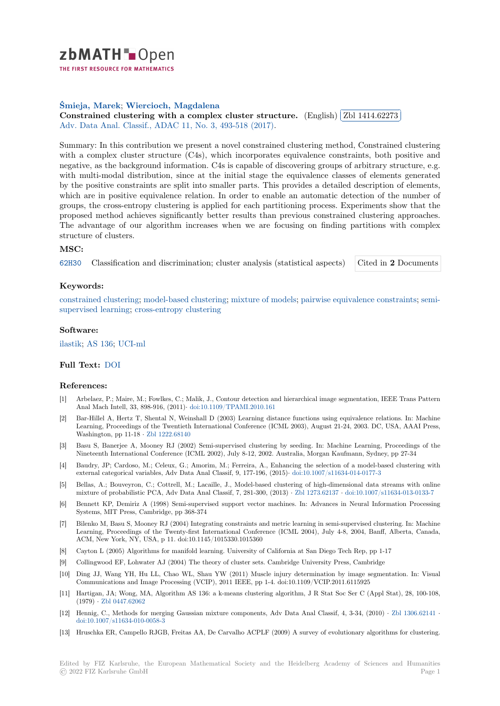

THE FIRST RESOURCE FOR MATHEMATICS

# **Śmieja, Marek**; **Wiercioch, Magdalena**

Sille a, Warek; Wiercloch, Magdalena<br>[C](https://zbmath.org/)onstrained clustering with a complex cluster structure. (English) ✂ Zbl 1414.62273 ĺ. Ļ, Adv. Data Anal. Classif., ADAC 11, No. 3, 493-518 (2017).

[Summary: In this](https://zbmath.org/authors/?q=ai:smieja.marek) [contribution we present a](https://zbmath.org/authors/?q=ai:wiercioch.magdalena) novel constrained clustering method, Constrained clustering [with a complex cluster structure \(C4s\), which incorporates equi](https://zbmath.org/1414.62273)valence co[nstraints, both po](https://zbmath.org/1414.62273)sitive and [negative, as the background infor](https://zbmath.org/journals/?q=se:4917)[mation. C4s is capable of](https://zbmath.org/?q=in:369881) discovering groups of arbitrary structure, e.g. with multi-modal distribution, since at the initial stage the equivalence classes of elements generated by the positive constraints are split into smaller parts. This provides a detailed description of elements, which are in positive equivalence relation. In order to enable an automatic detection of the number of groups, the cross-entropy clustering is applied for each partitioning process. Experiments show that the proposed method achieves significantly better results than previous constrained clustering approaches. The advantage of our algorithm increases when we are focusing on finding partitions with complex structure of clusters.

## **MSC:**

62H30 Classification and discrimination; cluster analysis (statistical aspects) Cited in **2** Documents

#### **Keywords:**

[constr](https://zbmath.org/classification/?q=cc:62H30)ained clustering; model-based clustering; mixture of models; pairwise equiva[lence constraints;](https://zbmath.org/?q=rf:1414.62273|7061460) semisupervised learning; cross-entropy clustering

#### **Software:**

ilastik; [AS 136;](https://zbmath.org/?q=ut:constrained+clustering) UCI[-m](https://zbmath.org/?q=ut:cross-entropy+clustering)[l](https://zbmath.org/?q=ut:model-based+clustering)

# **Full Text:** DOI

### **[Refer](https://swmath.org/software/8747)[ences:](https://swmath.org/software/14176)**

- [1] Arbelaez, P.; Maire, M.; Fowlkes, C.; Malik, J., Contour detection and hierarchical image segmentation, IEEE Trans Pattern Anal Mac[h Inte](https://dx.doi.org/10.1007/s11634-016-0254-x)ll, 33, 898-916, (2011)*·* doi:10.1109/TPAMI.2010.161
- [2] Bar-Hillel A, Hertz T, Shental N, Weinshall D (2003) Learning distance functions using equivalence relations. In: Machine Learning, Proceedings of the Twentieth International Conference (ICML 2003), August 21-24, 2003. DC, USA, AAAI Press, Washington, pp 11-18 *·* Zbl 1222.68140
- [3] Basu S, Banerjee A, Mooney RJ (20[02\) Semi-supervised clustering](https://dx.doi.org/10.1109/TPAMI.2010.161) by seeding. In: Machine Learning, Proceedings of the Nineteenth International Conference (ICML 2002), July 8-12, 2002. Australia, Morgan Kaufmann, Sydney, pp 27-34
- [4] Baudry, JP; Cardoso, M.; Celeux, G.; Amorim, M.; Ferreira, A., Enhancing the selection of a model-based clustering with external categorical vari[ables, Adv Dat](https://zbmath.org/1222.68140)a Anal Classif, 9, 177-196, (2015)*·* doi:10.1007/s11634-014-0177-3
- [5] Bellas, A.; Bouveyron, C.; Cottrell, M.; Lacaille, J., Model-based clustering of high-dimensional data streams with online mixture of probabilistic PCA, Adv Data Anal Classif, 7, 281-300, (2013) *·* Zbl 1273.62137 *·* doi:10.1007/s11634-013-0133-7
- [6] Bennett KP, Demiriz A (1998) Semi-supervised support vector machines. In: Advances in Neural Information Processing Systems, MIT Press, Cambridge, pp 368-374
- [7] Bilenko M, Basu S, Mooney RJ (2004) Integrating constraints and metric learning in semi-supervised clustering. In: Machine Learning, Proceedings of the Twenty-first International Conference (ICM[L 2004\), July 4](https://zbmath.org/1273.62137)-[8, 2004, Banff, Alberta, Canad](https://dx.doi.org/10.1007/s11634-013-0133-7)a, ACM, New York, NY, USA, p 11. doi:10.1145/1015330.1015360
- [8] Cayton L (2005) Algorithms for manifold learning. University of California at San Diego Tech Rep, pp 1-17
- [9] Collingwood EF, Lohwater AJ (2004) The theory of cluster sets. Cambridge University Press, Cambridge
- [10] Ding JJ, Wang YH, Hu LL, Chao WL, Shau YW (2011) Muscle injury determination by image segmentation. In: Visual Communications and Image Processing (VCIP), 2011 IEEE, pp 1-4. doi:10.1109/VCIP.2011.6115925
- [11] Hartigan, JA; Wong, MA, Algorithm AS 136: a k-means clustering algorithm, J R Stat Soc Ser C (Appl Stat), 28, 100-108, (1979) *·* Zbl 0447.62062
- [12] Hennig, C., Methods for merging Gaussian mixture components, Adv Data Anal Classif, 4, 3-34, (2010) *·* Zbl 1306.62141 *·* doi:10.1007/s11634-010-0058-3
- [13] Hruschka ER, Campello RJGB, Freitas AA, De Carvalho ACPLF (2009) A survey of evolutionary algorithms for clustering.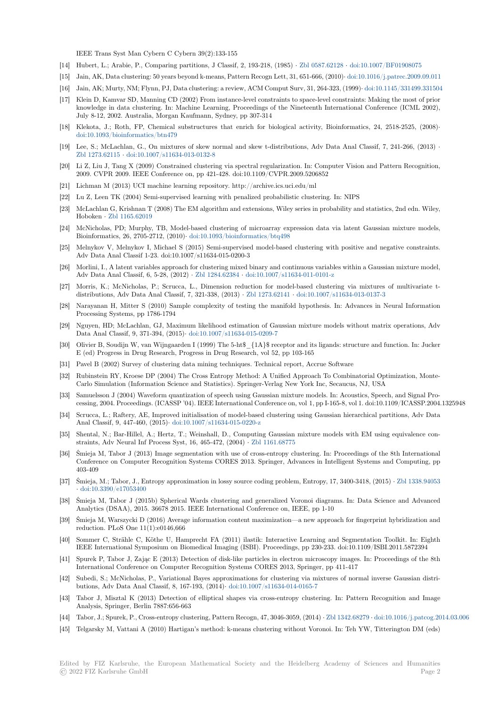IEEE Trans Syst Man Cybern C Cybern 39(2):133-155

- [14] Hubert, L.; Arabie, P., Comparing partitions, J Classif, 2, 193-218, (1985) *·* Zbl 0587.62128 *·* doi:10.1007/BF01908075
- [15] Jain, AK, Data clustering: 50 years beyond k-means, Pattern Recogn Lett, 31, 651-666, (2010)*·* doi:10.1016/j.patrec.2009.09.011
- [16] Jain, AK; Murty, NM; Flynn, PJ, Data clustering: a review, ACM Comput Surv, 31, 264-323, (1999)*·* doi:10.1145/331499.331504
- [17] Klein D, Kamvar SD, Manning CD (2002) From instance-level constraints to space-level constraints: Making the most of prior knowledge in data clustering. In: Machine Learning, Proceedings of the Ni[neteenth Interna](https://zbmath.org/0587.62128)t[ional Conference \(ICML](https://dx.doi.org/10.1007/BF01908075) 2002), July 8-12, 2002. Australia, Morgan Kaufmann, Sydney, pp 307-314
- [18] Klekota, J.; Roth, FP, Chemical substructures that enrich for biological activity, Bioinformati[cs, 24, 2518-2525, \(2008\)](https://dx.doi.org/10.1145/331499.331504)*·* doi:10.1093/bioinformatics/btn479
- [19] Lee, S.; McLachlan, G., On mixtures of skew normal and skew t-distributions, Adv Data Anal Classif, 7, 241-266, (2013) *·* Zbl 1273.62115 *·* doi:10.1007/s11634-013-0132-8
- [20] Li Z, Liu J, Tang X (2009) Constrained clustering via spectral regularization. In: Computer Vision and Pattern Recognition, [2009. CVPR 2009. IEEE Conferen](https://dx.doi.org/10.1093/bioinformatics/btn479)ce on, pp 421-428. doi:10.1109/CVPR.2009.5206852
- [21] Lichman M (2013) UCI machine learning repository. http://archive.ics.uci.edu/ml
- [22] [Lu Z, Leen TK](https://zbmath.org/1273.62115)([2004\) Semi-supervised learning](https://dx.doi.org/10.1007/s11634-013-0132-8) with penalized probabilistic clustering. In: NIPS
- [23] McLachlan G, Krishnan T (2008) The EM algorithm and extensions, Wiley series in probability and statistics, 2nd edn. Wiley, Hoboken *·* Zbl 1165.62019
- [24] McNicholas, PD; Murphy, TB, Model-based clustering of microarray expression data via latent Gaussian mixture models, Bioinformatics, 26, 2705-2712, (2010)*·* doi:10.1093/bioinformatics/btq498
- [25] Melnykov V, Melnykov I, Michael S (2015) Semi-supervised model-based clustering with positive and negative constraints. Adv Data [Anal Classif 1-2](https://zbmath.org/1165.62019)3. doi:10.1007/s11634-015-0200-3
- [26] Morlini, I., A latent variables approach for clustering mixed binary and continuous variables within a Gaussian mixture model, Adv Data Anal Classif, 6, 5-28, (2012) *·* Zbl 1284.62384 *·* [doi:10.1007/s11](https://dx.doi.org/10.1093/bioinformatics/btq498)634-011-0101-z
- [27] Morris, K.; McNicholas, P.; Scrucca, L., Dimension reduction for model-based clustering via mixtures of multivariate tdistributions, Adv Data Anal Classif, 7, 321-338, (2013) *·* Zbl 1273.62141 *·* doi:10.1007/s11634-013-0137-3
- [28] Narayanan H, Mitter S (2010) Sample complexity of testing the manifold hypothesis. In: Advances in Neural Information Processing Systems, pp 1786-1794
- [29] Nguyen, HD; McLachlan, GJ, Maximum likelihood estimation of Gaussian mixture models without matrix operations, Adv Data Anal Classif, 9, 371-394, (2015)*·* doi:10.1007/s11634[-015-0209-7](https://zbmath.org/1273.62141)
- [30] Olivier B, Soudijn W, van Wijngaarden I (1999) The 5-ht\$\_{1A}\$ receptor and its ligands: structure and function. In: Jucker E (ed) Progress in Drug Research, Progress in Drug Research, vol 52, pp 103-165
- [31] Pavel B (2002) Survey of clustering data mining techniques. Technical report, Accrue Software
- [32] Rubinstein RY, Kroese DP (2004) Th[e Cross Entropy Method: A Un](https://dx.doi.org/10.1007/s11634-015-0209-7)ified Approach To Combinatorial Optimization, Monte-Carlo Simulation (Information Science and Statistics). Springer-Verlag New York Inc, Secaucus, NJ, USA
- [33] Samuelsson J (2004) Waveform quantization of speech using Gaussian mixture models. In: Acoustics, Speech, and Signal Processing, 2004. Proceedings. (ICASSP '04). IEEE International Conference on, vol 1, pp I-165-8, vol 1. doi:10.1109/ICASSP.2004.1325948
- [34] Scrucca, L.; Raftery, AE, Improved initialisation of model-based clustering using Gaussian hierarchical partitions, Adv Data Anal Classif, 9, 447-460, (2015)*·* doi:10.1007/s11634-015-0220-z
- [35] Shental, N.; Bar-Hillel, A.; Hertz, T.; Weinshall, D., Computing Gaussian mixture models with EM using equivalence constraints, Adv Neural Inf Process Syst, 16, 465-472, (2004) *·* Zbl 1161.68775
- [36] Śmieja M, Tabor J (2013) Image segmentation with use of cross-entropy clustering. In: Proceedings of the 8th International Conference on Computer Recog[nition Systems CORES 2013. S](https://dx.doi.org/10.1007/s11634-015-0220-z)pringer, Advances in Intelligent Systems and Computing, pp 403-409
- [37] Śmieja, M.; Tabor, J., Entropy approximation in lossy sourc[e coding problem](https://zbmath.org/1161.68775), Entropy, 17, 3400-3418, (2015) *·* Zbl 1338.94053 *·* doi:10.3390/e17053400
- [38] Śmieja M, Tabor J (2015b) Spherical Wards clustering and generalized Voronoi diagrams. In: Data Science and Advanced Analytics (DSAA), 2015. 36678 2015. IEEE International Conference on, IEEE, pp 1-10
- [39] Śmieja M, Warszycki D (2016) Average information content maximization—a new approach for fingerprint hy[bridization and](https://zbmath.org/1338.94053) r[eduction. PLoS One 11](https://dx.doi.org/10.3390/e17053400)(1):e0146,666
- [40] Sommer C, Strähle C, Köthe U, Hamprecht FA (2011) ilastik: Interactive Learning and Segmentation Toolkit. In: Eighth IEEE International Symposium on Biomedical Imaging (ISBI). Proceedings, pp 230-233. doi:10.1109/ISBI.2011.5872394
- [41] Spurek P, Tabor J, Zając E (2013) Detection of disk-like particles in electron microscopy images. In: Proceedings of the 8th International Conference on Computer Recognition Systems CORES 2013, Springer, pp 411-417
- [42] Subedi, S.; McNicholas, P., Variational Bayes approximations for clustering via mixtures of normal inverse Gaussian distributions, Adv Data Anal Classif, 8, 167-193, (2014)*·* doi:10.1007/s11634-014-0165-7
- [43] Tabor J, Misztal K (2013) Detection of elliptical shapes via cross-entropy clustering. In: Pattern Recognition and Image Analysis, Springer, Berlin 7887:656-663
- [44] Tabor, J.; Spurek, P., Cross-entropy clustering, Pattern Recogn, 47, 3046-3059, (2014) *·* Zbl 1342.68279 *·* doi:10.1016/j.patcog.2014.03.006
- [45] Telgarsky M, Vattani A (2010) Hartigan's method: [k-means clustering without Vor](https://dx.doi.org/10.1007/s11634-014-0165-7)onoi. In: Teh YW, Titterington DM (eds)